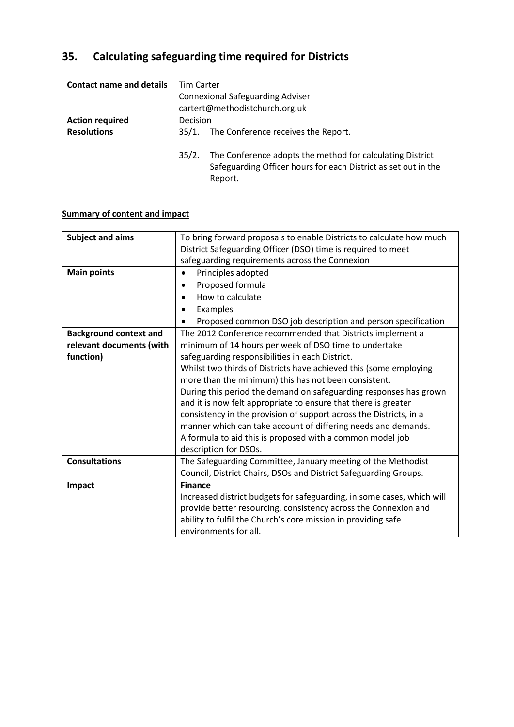# **35. Calculating safeguarding time required for Districts**

| <b>Contact name and details</b> | <b>Tim Carter</b>                                                                                                                               |
|---------------------------------|-------------------------------------------------------------------------------------------------------------------------------------------------|
|                                 | <b>Connexional Safeguarding Adviser</b>                                                                                                         |
|                                 | cartert@methodistchurch.org.uk                                                                                                                  |
| <b>Action required</b>          | Decision                                                                                                                                        |
| <b>Resolutions</b>              | The Conference receives the Report.<br>35/1.                                                                                                    |
|                                 | 35/2.<br>The Conference adopts the method for calculating District<br>Safeguarding Officer hours for each District as set out in the<br>Report. |

# **Summary of content and impact**

| <b>Subject and aims</b>       | To bring forward proposals to enable Districts to calculate how much   |
|-------------------------------|------------------------------------------------------------------------|
|                               | District Safeguarding Officer (DSO) time is required to meet           |
|                               | safeguarding requirements across the Connexion                         |
| <b>Main points</b>            | Principles adopted<br>$\bullet$                                        |
|                               | Proposed formula                                                       |
|                               | How to calculate                                                       |
|                               | Examples                                                               |
|                               | Proposed common DSO job description and person specification           |
| <b>Background context and</b> | The 2012 Conference recommended that Districts implement a             |
| relevant documents (with      | minimum of 14 hours per week of DSO time to undertake                  |
| function)                     | safeguarding responsibilities in each District.                        |
|                               | Whilst two thirds of Districts have achieved this (some employing      |
|                               | more than the minimum) this has not been consistent.                   |
|                               | During this period the demand on safeguarding responses has grown      |
|                               | and it is now felt appropriate to ensure that there is greater         |
|                               | consistency in the provision of support across the Districts, in a     |
|                               | manner which can take account of differing needs and demands.          |
|                               | A formula to aid this is proposed with a common model job              |
|                               | description for DSOs.                                                  |
| <b>Consultations</b>          | The Safeguarding Committee, January meeting of the Methodist           |
|                               | Council, District Chairs, DSOs and District Safeguarding Groups.       |
| Impact                        | <b>Finance</b>                                                         |
|                               | Increased district budgets for safeguarding, in some cases, which will |
|                               | provide better resourcing, consistency across the Connexion and        |
|                               | ability to fulfil the Church's core mission in providing safe          |
|                               | environments for all.                                                  |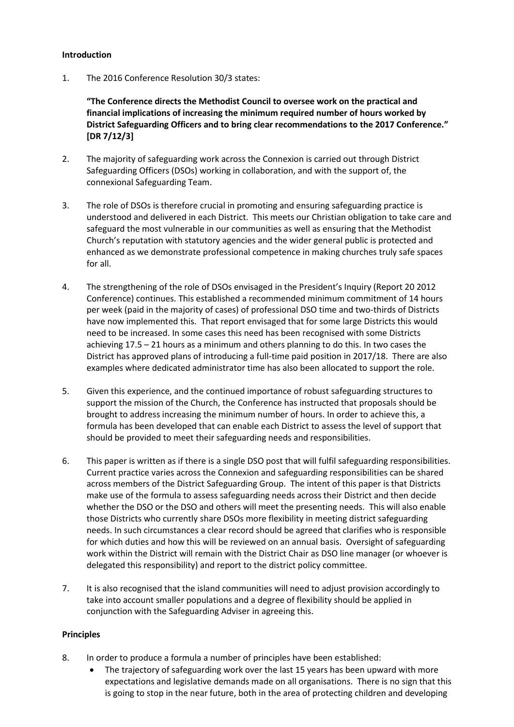## **Introduction**

1. The 2016 Conference Resolution 30/3 states:

**"The Conference directs the Methodist Council to oversee work on the practical and financial implications of increasing the minimum required number of hours worked by District Safeguarding Officers and to bring clear recommendations to the 2017 Conference." [DR 7/12/3]**

- 2. The majority of safeguarding work across the Connexion is carried out through District Safeguarding Officers (DSOs) working in collaboration, and with the support of, the connexional Safeguarding Team.
- 3. The role of DSOs is therefore crucial in promoting and ensuring safeguarding practice is understood and delivered in each District. This meets our Christian obligation to take care and safeguard the most vulnerable in our communities as well as ensuring that the Methodist Church's reputation with statutory agencies and the wider general public is protected and enhanced as we demonstrate professional competence in making churches truly safe spaces for all.
- 4. The strengthening of the role of DSOs envisaged in the President's Inquiry (Report 20 2012 Conference) continues. This established a recommended minimum commitment of 14 hours per week (paid in the majority of cases) of professional DSO time and two-thirds of Districts have now implemented this. That report envisaged that for some large Districts this would need to be increased. In some cases this need has been recognised with some Districts achieving 17.5 – 21 hours as a minimum and others planning to do this. In two cases the District has approved plans of introducing a full-time paid position in 2017/18. There are also examples where dedicated administrator time has also been allocated to support the role.
- 5. Given this experience, and the continued importance of robust safeguarding structures to support the mission of the Church, the Conference has instructed that proposals should be brought to address increasing the minimum number of hours. In order to achieve this, a formula has been developed that can enable each District to assess the level of support that should be provided to meet their safeguarding needs and responsibilities.
- 6. This paper is written as if there is a single DSO post that will fulfil safeguarding responsibilities. Current practice varies across the Connexion and safeguarding responsibilities can be shared across members of the District Safeguarding Group. The intent of this paper is that Districts make use of the formula to assess safeguarding needs across their District and then decide whether the DSO or the DSO and others will meet the presenting needs. This will also enable those Districts who currently share DSOs more flexibility in meeting district safeguarding needs. In such circumstances a clear record should be agreed that clarifies who is responsible for which duties and how this will be reviewed on an annual basis. Oversight of safeguarding work within the District will remain with the District Chair as DSO line manager (or whoever is delegated this responsibility) and report to the district policy committee.
- 7. It is also recognised that the island communities will need to adjust provision accordingly to take into account smaller populations and a degree of flexibility should be applied in conjunction with the Safeguarding Adviser in agreeing this.

#### **Principles**

- 8. In order to produce a formula a number of principles have been established:
	- The trajectory of safeguarding work over the last 15 years has been upward with more expectations and legislative demands made on all organisations. There is no sign that this is going to stop in the near future, both in the area of protecting children and developing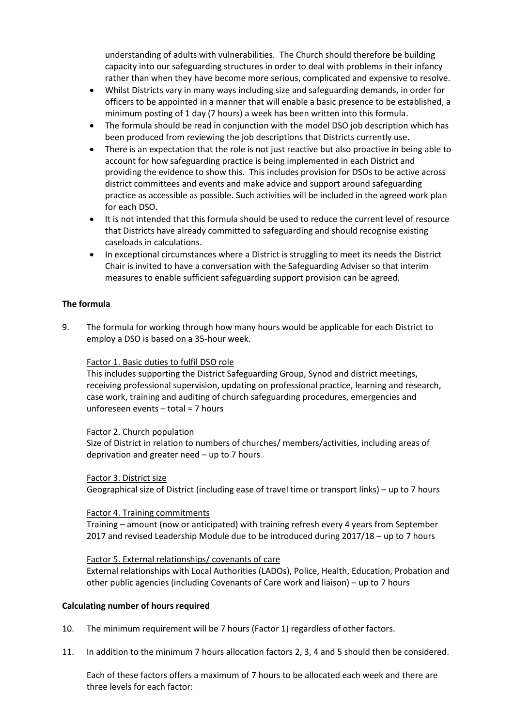understanding of adults with vulnerabilities. The Church should therefore be building capacity into our safeguarding structures in order to deal with problems in their infancy rather than when they have become more serious, complicated and expensive to resolve.

- Whilst Districts vary in many ways including size and safeguarding demands, in order for officers to be appointed in a manner that will enable a basic presence to be established, a minimum posting of 1 day (7 hours) a week has been written into this formula.
- The formula should be read in conjunction with the model DSO job description which has been produced from reviewing the job descriptions that Districts currently use.
- There is an expectation that the role is not just reactive but also proactive in being able to account for how safeguarding practice is being implemented in each District and providing the evidence to show this. This includes provision for DSOs to be active across district committees and events and make advice and support around safeguarding practice as accessible as possible. Such activities will be included in the agreed work plan for each DSO.
- It is not intended that this formula should be used to reduce the current level of resource that Districts have already committed to safeguarding and should recognise existing caseloads in calculations.
- In exceptional circumstances where a District is struggling to meet its needs the District Chair is invited to have a conversation with the Safeguarding Adviser so that interim measures to enable sufficient safeguarding support provision can be agreed.

#### **The formula**

9. The formula for working through how many hours would be applicable for each District to employ a DSO is based on a 35-hour week.

## Factor 1. Basic duties to fulfil DSO role

This includes supporting the District Safeguarding Group, Synod and district meetings, receiving professional supervision, updating on professional practice, learning and research, case work, training and auditing of church safeguarding procedures, emergencies and unforeseen events – total = 7 hours

#### Factor 2. Church population

Size of District in relation to numbers of churches/ members/activities, including areas of deprivation and greater need – up to 7 hours

#### Factor 3. District size

Geographical size of District (including ease of travel time or transport links) – up to 7 hours

#### Factor 4. Training commitments

Training – amount (now or anticipated) with training refresh every 4 years from September 2017 and revised Leadership Module due to be introduced during 2017/18 – up to 7 hours

#### Factor 5. External relationships/ covenants of care

External relationships with Local Authorities (LADOs), Police, Health, Education, Probation and other public agencies (including Covenants of Care work and liaison) – up to 7 hours

#### **Calculating number of hours required**

- 10. The minimum requirement will be 7 hours (Factor 1) regardless of other factors.
- 11. In addition to the minimum 7 hours allocation factors 2, 3, 4 and 5 should then be considered.

Each of these factors offers a maximum of 7 hours to be allocated each week and there are three levels for each factor: